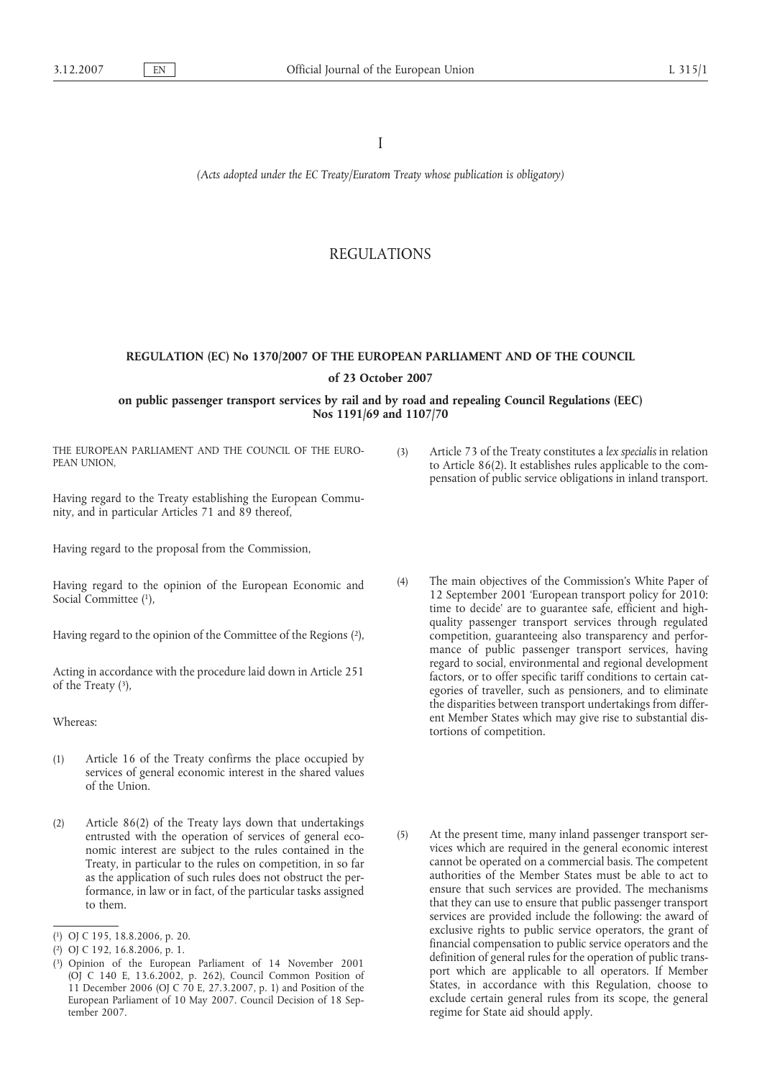*(Acts adopted under the EC Treaty/Euratom Treaty whose publication is obligatory)*

# REGULATIONS

# **REGULATION (EC) No 1370/2007 OF THE EUROPEAN PARLIAMENT AND OF THE COUNCIL of 23 October 2007**

### **on public passenger transport services by rail and by road and repealing Council Regulations (EEC) Nos 1191/69 and 1107/70**

THE EUROPEAN PARLIAMENT AND THE COUNCIL OF THE EURO-PEAN UNION,

Having regard to the Treaty establishing the European Community, and in particular Articles 71 and 89 thereof,

Having regard to the proposal from the Commission,

Having regard to the opinion of the European Economic and Social Committee (1),

Having regard to the opinion of the Committee of the Regions (2),

Acting in accordance with the procedure laid down in Article 251 of the Treaty (3),

Whereas:

- (1) Article 16 of the Treaty confirms the place occupied by services of general economic interest in the shared values of the Union.
- (2) Article 86(2) of the Treaty lays down that undertakings entrusted with the operation of services of general economic interest are subject to the rules contained in the Treaty, in particular to the rules on competition, in so far as the application of such rules does not obstruct the performance, in law or in fact, of the particular tasks assigned to them.
- ( 1) OJ C 195, 18.8.2006, p. 20.
- (3) Article 73 of the Treaty constitutes a *lex specialis* in relation to Article 86(2). It establishes rules applicable to the compensation of public service obligations in inland transport.
- (4) The main objectives of the Commission's White Paper of 12 September 2001 'European transport policy for 2010: time to decide' are to guarantee safe, efficient and highquality passenger transport services through regulated competition, guaranteeing also transparency and performance of public passenger transport services, having regard to social, environmental and regional development factors, or to offer specific tariff conditions to certain categories of traveller, such as pensioners, and to eliminate the disparities between transport undertakings from different Member States which may give rise to substantial distortions of competition.
- (5) At the present time, many inland passenger transport services which are required in the general economic interest cannot be operated on a commercial basis. The competent authorities of the Member States must be able to act to ensure that such services are provided. The mechanisms that they can use to ensure that public passenger transport services are provided include the following: the award of exclusive rights to public service operators, the grant of financial compensation to public service operators and the definition of general rules for the operation of public transport which are applicable to all operators. If Member States, in accordance with this Regulation, choose to exclude certain general rules from its scope, the general regime for State aid should apply.

<sup>(</sup> 2) OJ C 192, 16.8.2006, p. 1.

<sup>(</sup> 3) Opinion of the European Parliament of 14 November 2001 (OJ C 140 E, 13.6.2002, p. 262), Council Common Position of 11 December 2006 (OJ C 70 E, 27.3.2007, p. 1) and Position of the European Parliament of 10 May 2007. Council Decision of 18 September 2007.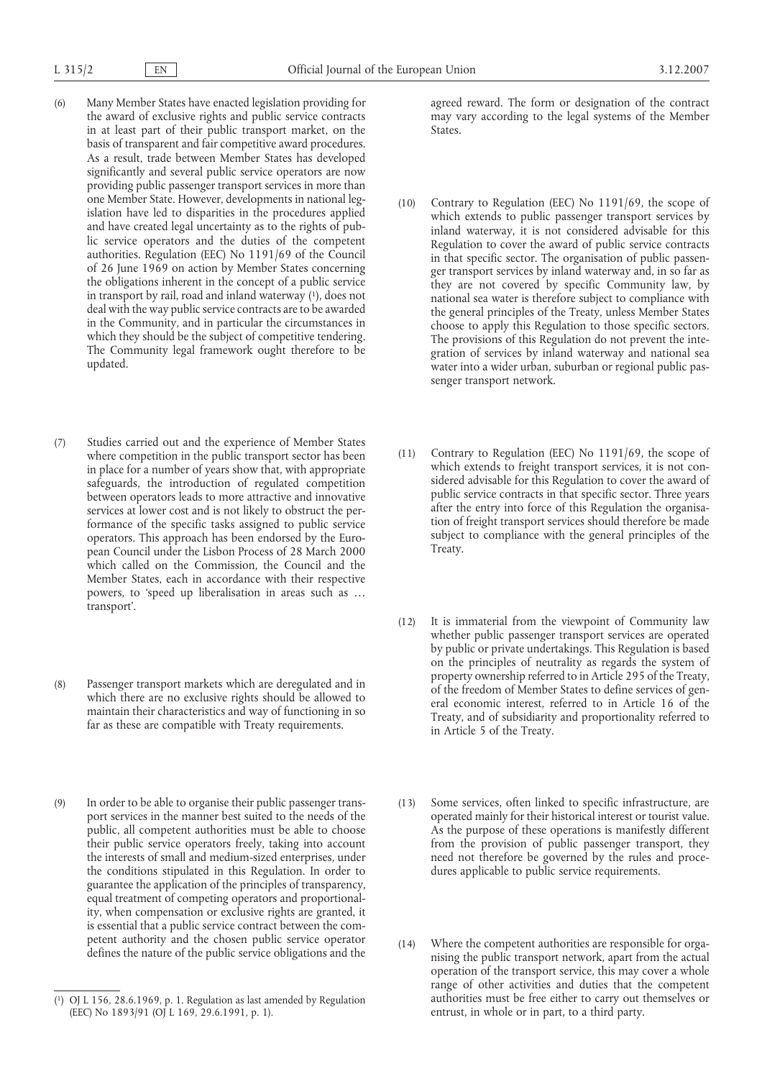- (6) Many Member States have enacted legislation providing for the award of exclusive rights and public service contracts in at least part of their public transport market, on the basis of transparent and fair competitive award procedures. As a result, trade between Member States has developed significantly and several public service operators are now providing public passenger transport services in more than one Member State. However, developments in national legislation have led to disparities in the procedures applied and have created legal uncertainty as to the rights of public service operators and the duties of the competent authorities. Regulation (EEC) No 1191/69 of the Council of 26 June 1969 on action by Member States concerning the obligations inherent in the concept of a public service in transport by rail, road and inland waterway (1), does not deal with the way public service contracts are to be awarded in the Community, and in particular the circumstances in which they should be the subject of competitive tendering. The Community legal framework ought therefore to be updated.
- (7) Studies carried out and the experience of Member States where competition in the public transport sector has been in place for a number of years show that, with appropriate safeguards, the introduction of regulated competition between operators leads to more attractive and innovative services at lower cost and is not likely to obstruct the performance of the specific tasks assigned to public service operators. This approach has been endorsed by the European Council under the Lisbon Process of 28 March 2000 which called on the Commission, the Council and the Member States, each in accordance with their respective powers, to 'speed up liberalisation in areas such as … transport'.
- (8) Passenger transport markets which are deregulated and in which there are no exclusive rights should be allowed to maintain their characteristics and way of functioning in so far as these are compatible with Treaty requirements.
- (9) In order to be able to organise their public passenger transport services in the manner best suited to the needs of the public, all competent authorities must be able to choose their public service operators freely, taking into account the interests of small and medium-sized enterprises, under the conditions stipulated in this Regulation. In order to guarantee the application of the principles of transparency, equal treatment of competing operators and proportionality, when compensation or exclusive rights are granted, it is essential that a public service contract between the competent authority and the chosen public service operator defines the nature of the public service obligations and the

agreed reward. The form or designation of the contract may vary according to the legal systems of the Member States.

- (10) Contrary to Regulation (EEC) No 1191/69, the scope of which extends to public passenger transport services by inland waterway, it is not considered advisable for this Regulation to cover the award of public service contracts in that specific sector. The organisation of public passenger transport services by inland waterway and, in so far as they are not covered by specific Community law, by national sea water is therefore subject to compliance with the general principles of the Treaty, unless Member States choose to apply this Regulation to those specific sectors. The provisions of this Regulation do not prevent the integration of services by inland waterway and national sea water into a wider urban, suburban or regional public passenger transport network.
- (11) Contrary to Regulation (EEC) No 1191/69, the scope of which extends to freight transport services, it is not considered advisable for this Regulation to cover the award of public service contracts in that specific sector. Three years after the entry into force of this Regulation the organisation of freight transport services should therefore be made subject to compliance with the general principles of the Treaty.
- (12) It is immaterial from the viewpoint of Community law whether public passenger transport services are operated by public or private undertakings. This Regulation is based on the principles of neutrality as regards the system of property ownership referred to in Article 295 of the Treaty, of the freedom of Member States to define services of general economic interest, referred to in Article 16 of the Treaty, and of subsidiarity and proportionality referred to in Article 5 of the Treaty.
- (13) Some services, often linked to specific infrastructure, are operated mainly for their historical interest or tourist value. As the purpose of these operations is manifestly different from the provision of public passenger transport, they need not therefore be governed by the rules and procedures applicable to public service requirements.
- (14) Where the competent authorities are responsible for organising the public transport network, apart from the actual operation of the transport service, this may cover a whole range of other activities and duties that the competent authorities must be free either to carry out themselves or entrust, in whole or in part, to a third party.

<sup>(</sup> 1) OJ L 156, 28.6.1969, p. 1. Regulation as last amended by Regulation (EEC) No 1893/91 (OJ L 169, 29.6.1991, p. 1).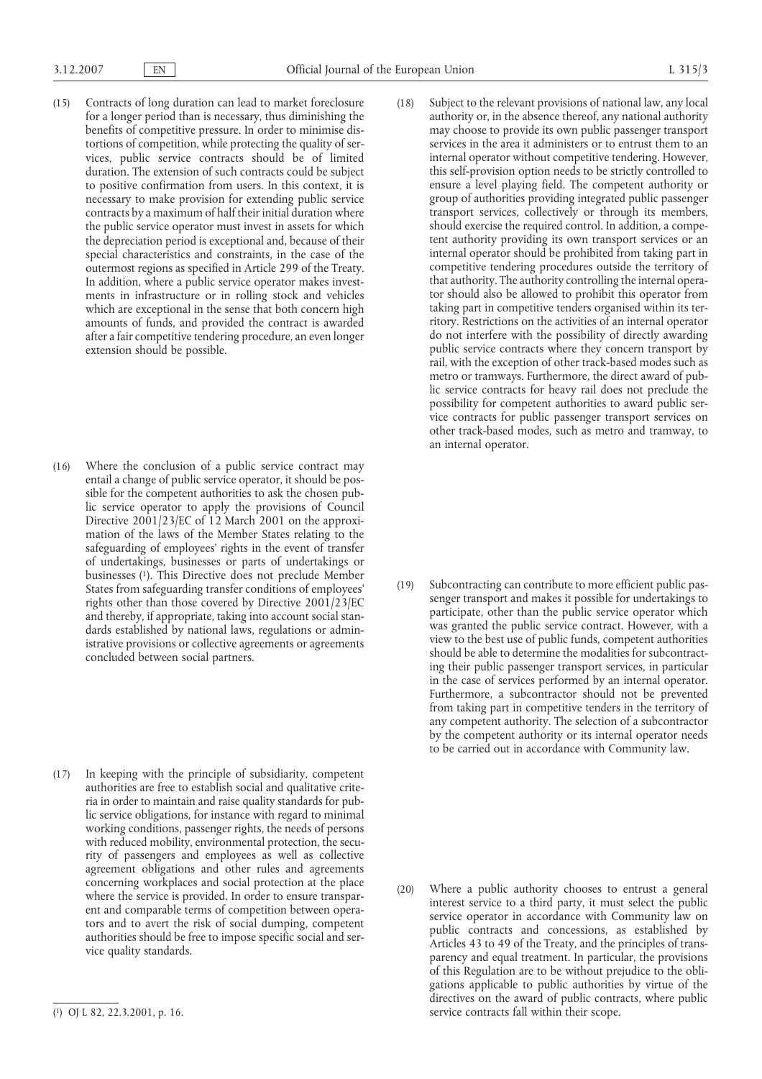- (15) Contracts of long duration can lead to market foreclosure for a longer period than is necessary, thus diminishing the benefits of competitive pressure. In order to minimise distortions of competition, while protecting the quality of services, public service contracts should be of limited duration. The extension of such contracts could be subject to positive confirmation from users. In this context, it is necessary to make provision for extending public service contracts by a maximum of half their initial duration where the public service operator must invest in assets for which the depreciation period is exceptional and, because of their special characteristics and constraints, in the case of the outermost regions as specified in Article 299 of the Treaty. In addition, where a public service operator makes investments in infrastructure or in rolling stock and vehicles which are exceptional in the sense that both concern high amounts of funds, and provided the contract is awarded after a fair competitive tendering procedure, an even longer extension should be possible.
- (16) Where the conclusion of a public service contract may entail a change of public service operator, it should be possible for the competent authorities to ask the chosen public service operator to apply the provisions of Council Directive 2001/23/EC of 12 March 2001 on the approximation of the laws of the Member States relating to the safeguarding of employees' rights in the event of transfer of undertakings, businesses or parts of undertakings or businesses (1). This Directive does not preclude Member States from safeguarding transfer conditions of employees' rights other than those covered by Directive 2001/23/EC and thereby, if appropriate, taking into account social standards established by national laws, regulations or administrative provisions or collective agreements or agreements concluded between social partners.
- (17) In keeping with the principle of subsidiarity, competent authorities are free to establish social and qualitative criteria in order to maintain and raise quality standards for public service obligations, for instance with regard to minimal working conditions, passenger rights, the needs of persons with reduced mobility, environmental protection, the security of passengers and employees as well as collective agreement obligations and other rules and agreements concerning workplaces and social protection at the place where the service is provided. In order to ensure transparent and comparable terms of competition between operators and to avert the risk of social dumping, competent authorities should be free to impose specific social and service quality standards.

(18) Subject to the relevant provisions of national law, any local authority or, in the absence thereof, any national authority may choose to provide its own public passenger transport services in the area it administers or to entrust them to an internal operator without competitive tendering. However, this self-provision option needs to be strictly controlled to ensure a level playing field. The competent authority or group of authorities providing integrated public passenger transport services, collectively or through its members, should exercise the required control. In addition, a competent authority providing its own transport services or an internal operator should be prohibited from taking part in competitive tendering procedures outside the territory of that authority. The authority controlling the internal operator should also be allowed to prohibit this operator from taking part in competitive tenders organised within its territory. Restrictions on the activities of an internal operator do not interfere with the possibility of directly awarding public service contracts where they concern transport by rail, with the exception of other track-based modes such as metro or tramways. Furthermore, the direct award of public service contracts for heavy rail does not preclude the possibility for competent authorities to award public service contracts for public passenger transport services on other track-based modes, such as metro and tramway, to an internal operator.

(19) Subcontracting can contribute to more efficient public passenger transport and makes it possible for undertakings to participate, other than the public service operator which was granted the public service contract. However, with a view to the best use of public funds, competent authorities should be able to determine the modalities for subcontracting their public passenger transport services, in particular in the case of services performed by an internal operator. Furthermore, a subcontractor should not be prevented from taking part in competitive tenders in the territory of any competent authority. The selection of a subcontractor by the competent authority or its internal operator needs to be carried out in accordance with Community law.

(20) Where a public authority chooses to entrust a general interest service to a third party, it must select the public service operator in accordance with Community law on public contracts and concessions, as established by Articles 43 to 49 of the Treaty, and the principles of transparency and equal treatment. In particular, the provisions of this Regulation are to be without prejudice to the obligations applicable to public authorities by virtue of the directives on the award of public contracts, where public (1) OJ L 82, 22.3.2001, p. 16. The service contracts fall within their scope.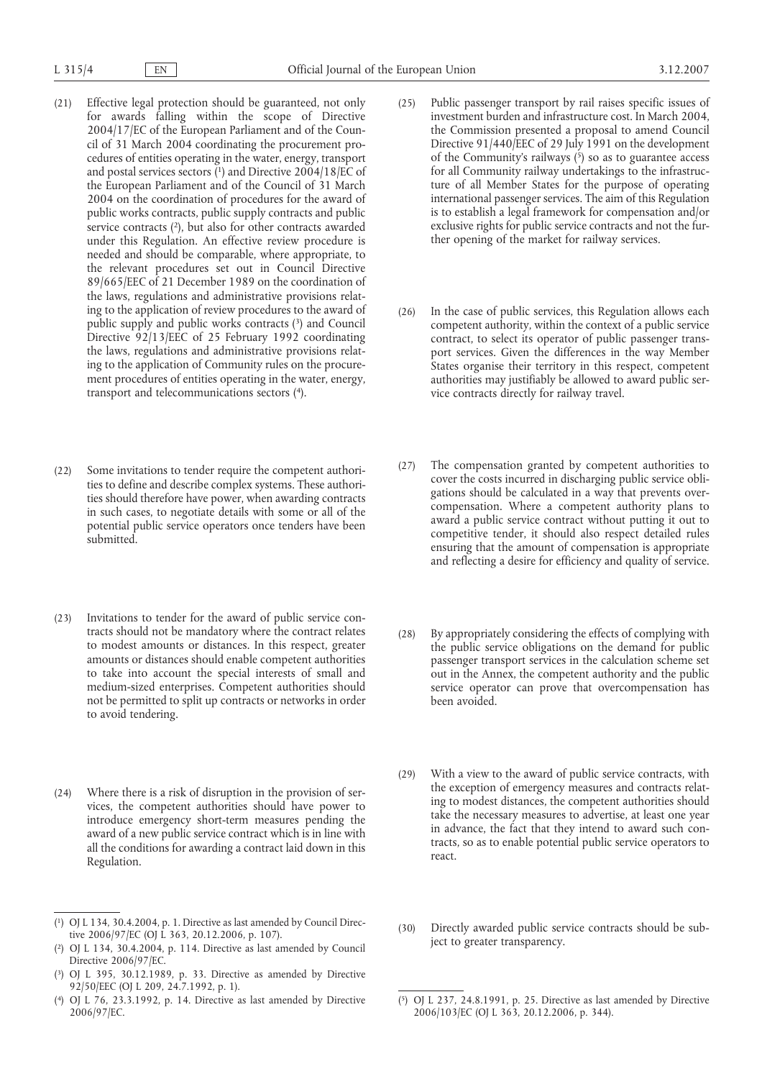- (21) Effective legal protection should be guaranteed, not only for awards falling within the scope of Directive 2004/17/EC of the European Parliament and of the Council of 31 March 2004 coordinating the procurement procedures of entities operating in the water, energy, transport and postal services sectors (1) and Directive 2004/18/EC of the European Parliament and of the Council of 31 March 2004 on the coordination of procedures for the award of public works contracts, public supply contracts and public service contracts (2), but also for other contracts awarded under this Regulation. An effective review procedure is needed and should be comparable, where appropriate, to the relevant procedures set out in Council Directive 89/665/EEC of 21 December 1989 on the coordination of the laws, regulations and administrative provisions relating to the application of review procedures to the award of public supply and public works contracts (3) and Council Directive 92/13/EEC of 25 February 1992 coordinating the laws, regulations and administrative provisions relating to the application of Community rules on the procurement procedures of entities operating in the water, energy, transport and telecommunications sectors (4).
- (22) Some invitations to tender require the competent authorities to define and describe complex systems. These authorities should therefore have power, when awarding contracts in such cases, to negotiate details with some or all of the potential public service operators once tenders have been submitted.
- (23) Invitations to tender for the award of public service contracts should not be mandatory where the contract relates to modest amounts or distances. In this respect, greater amounts or distances should enable competent authorities to take into account the special interests of small and medium-sized enterprises. Competent authorities should not be permitted to split up contracts or networks in order to avoid tendering.
- (24) Where there is a risk of disruption in the provision of services, the competent authorities should have power to introduce emergency short-term measures pending the award of a new public service contract which is in line with all the conditions for awarding a contract laid down in this Regulation.

- ( 2) OJ L 134, 30.4.2004, p. 114. Directive as last amended by Council Directive 2006/97/EC.
- ( 3) OJ L 395, 30.12.1989, p. 33. Directive as amended by Directive 92/50/EEC (OJ L 209, 24.7.1992, p. 1).
- ( 4) OJ L 76, 23.3.1992, p. 14. Directive as last amended by Directive 2006/97/EC.
- (25) Public passenger transport by rail raises specific issues of investment burden and infrastructure cost. In March 2004, the Commission presented a proposal to amend Council Directive 91/440/EEC of 29 July 1991 on the development of the Community's railways  $(5)$  so as to guarantee access for all Community railway undertakings to the infrastructure of all Member States for the purpose of operating international passenger services. The aim of this Regulation is to establish a legal framework for compensation and/or exclusive rights for public service contracts and not the further opening of the market for railway services.
- (26) In the case of public services, this Regulation allows each competent authority, within the context of a public service contract, to select its operator of public passenger transport services. Given the differences in the way Member States organise their territory in this respect, competent authorities may justifiably be allowed to award public service contracts directly for railway travel.
- (27) The compensation granted by competent authorities to cover the costs incurred in discharging public service obligations should be calculated in a way that prevents overcompensation. Where a competent authority plans to award a public service contract without putting it out to competitive tender, it should also respect detailed rules ensuring that the amount of compensation is appropriate and reflecting a desire for efficiency and quality of service.
- (28) By appropriately considering the effects of complying with the public service obligations on the demand for public passenger transport services in the calculation scheme set out in the Annex, the competent authority and the public service operator can prove that overcompensation has been avoided.
- (29) With a view to the award of public service contracts, with the exception of emergency measures and contracts relating to modest distances, the competent authorities should take the necessary measures to advertise, at least one year in advance, the fact that they intend to award such contracts, so as to enable potential public service operators to react.
- (30) Directly awarded public service contracts should be subject to greater transparency.

<sup>(</sup> 1) OJ L 134, 30.4.2004, p. 1. Directive as last amended by Council Directive 2006/97/EC (OJ L 363, 20.12.2006, p. 107).

<sup>(</sup> 5) OJ L 237, 24.8.1991, p. 25. Directive as last amended by Directive 2006/103/EC (OJ L 363, 20.12.2006, p. 344).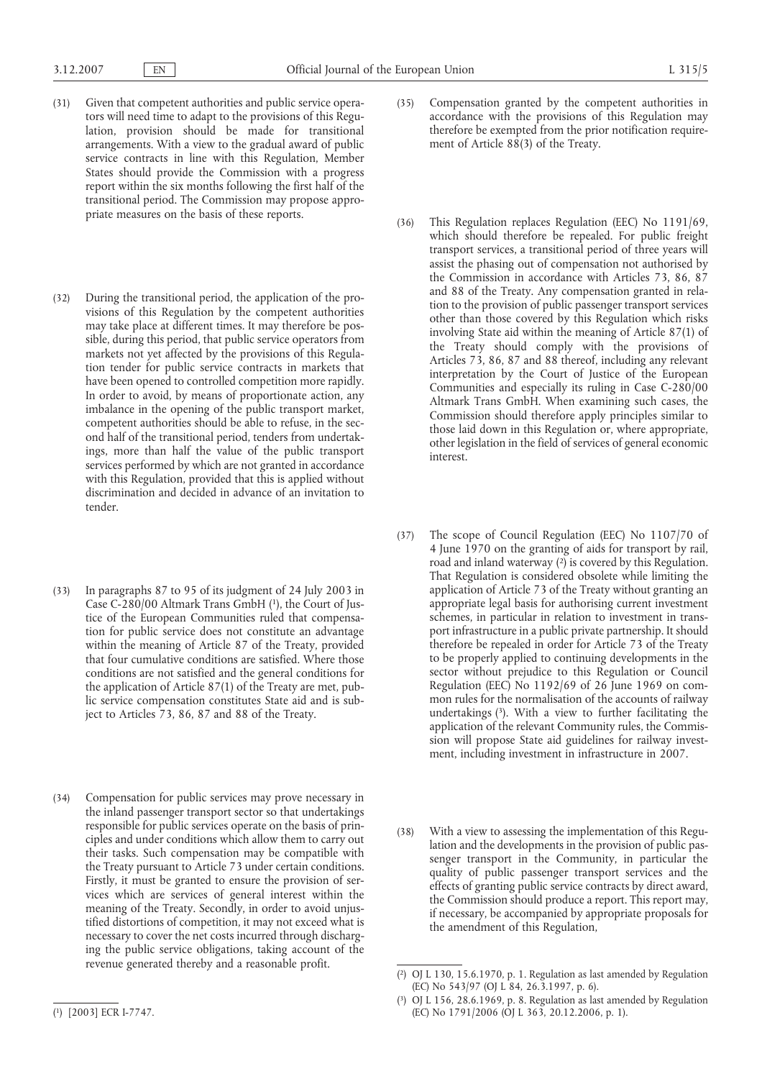- (31) Given that competent authorities and public service operators will need time to adapt to the provisions of this Regulation, provision should be made for transitional arrangements. With a view to the gradual award of public service contracts in line with this Regulation, Member States should provide the Commission with a progress report within the six months following the first half of the transitional period. The Commission may propose appropriate measures on the basis of these reports.
- (32) During the transitional period, the application of the provisions of this Regulation by the competent authorities may take place at different times. It may therefore be possible, during this period, that public service operators from markets not yet affected by the provisions of this Regulation tender for public service contracts in markets that have been opened to controlled competition more rapidly. In order to avoid, by means of proportionate action, any imbalance in the opening of the public transport market, competent authorities should be able to refuse, in the second half of the transitional period, tenders from undertakings, more than half the value of the public transport services performed by which are not granted in accordance with this Regulation, provided that this is applied without discrimination and decided in advance of an invitation to tender.
- (33) In paragraphs 87 to 95 of its judgment of 24 July 2003 in Case C-280/00 Altmark Trans GmbH (1), the Court of Justice of the European Communities ruled that compensation for public service does not constitute an advantage within the meaning of Article 87 of the Treaty, provided that four cumulative conditions are satisfied. Where those conditions are not satisfied and the general conditions for the application of Article 87(1) of the Treaty are met, public service compensation constitutes State aid and is subject to Articles 73, 86, 87 and 88 of the Treaty.
- (34) Compensation for public services may prove necessary in the inland passenger transport sector so that undertakings responsible for public services operate on the basis of principles and under conditions which allow them to carry out their tasks. Such compensation may be compatible with the Treaty pursuant to Article 73 under certain conditions. Firstly, it must be granted to ensure the provision of services which are services of general interest within the meaning of the Treaty. Secondly, in order to avoid unjustified distortions of competition, it may not exceed what is necessary to cover the net costs incurred through discharging the public service obligations, taking account of the revenue generated thereby and a reasonable profit.
- (35) Compensation granted by the competent authorities in accordance with the provisions of this Regulation may therefore be exempted from the prior notification requirement of Article 88(3) of the Treaty.
- (36) This Regulation replaces Regulation (EEC) No 1191/69, which should therefore be repealed. For public freight transport services, a transitional period of three years will assist the phasing out of compensation not authorised by the Commission in accordance with Articles 73, 86, 87 and 88 of the Treaty. Any compensation granted in relation to the provision of public passenger transport services other than those covered by this Regulation which risks involving State aid within the meaning of Article 87(1) of the Treaty should comply with the provisions of Articles 73, 86, 87 and 88 thereof, including any relevant interpretation by the Court of Justice of the European Communities and especially its ruling in Case C-280/00 Altmark Trans GmbH. When examining such cases, the Commission should therefore apply principles similar to those laid down in this Regulation or, where appropriate, other legislation in the field of services of general economic interest.
- (37) The scope of Council Regulation (EEC) No 1107/70 of 4 June 1970 on the granting of aids for transport by rail, road and inland waterway (2) is covered by this Regulation. That Regulation is considered obsolete while limiting the application of Article 73 of the Treaty without granting an appropriate legal basis for authorising current investment schemes, in particular in relation to investment in transport infrastructure in a public private partnership. It should therefore be repealed in order for Article 73 of the Treaty to be properly applied to continuing developments in the sector without prejudice to this Regulation or Council Regulation (EEC) No 1192/69 of 26 June 1969 on common rules for the normalisation of the accounts of railway undertakings (3). With a view to further facilitating the application of the relevant Community rules, the Commission will propose State aid guidelines for railway investment, including investment in infrastructure in 2007.
- (38) With a view to assessing the implementation of this Regulation and the developments in the provision of public passenger transport in the Community, in particular the quality of public passenger transport services and the effects of granting public service contracts by direct award, the Commission should produce a report. This report may, if necessary, be accompanied by appropriate proposals for the amendment of this Regulation,

<sup>(</sup> 1) [2003] ECR I-7747.

<sup>(</sup> 2) OJ L 130, 15.6.1970, p. 1. Regulation as last amended by Regulation (EC) No 543/97 (OJ L 84, 26.3.1997, p. 6).

<sup>(</sup> 3) OJ L 156, 28.6.1969, p. 8. Regulation as last amended by Regulation (EC) No 1791/2006 (OJ L 363, 20.12.2006, p. 1).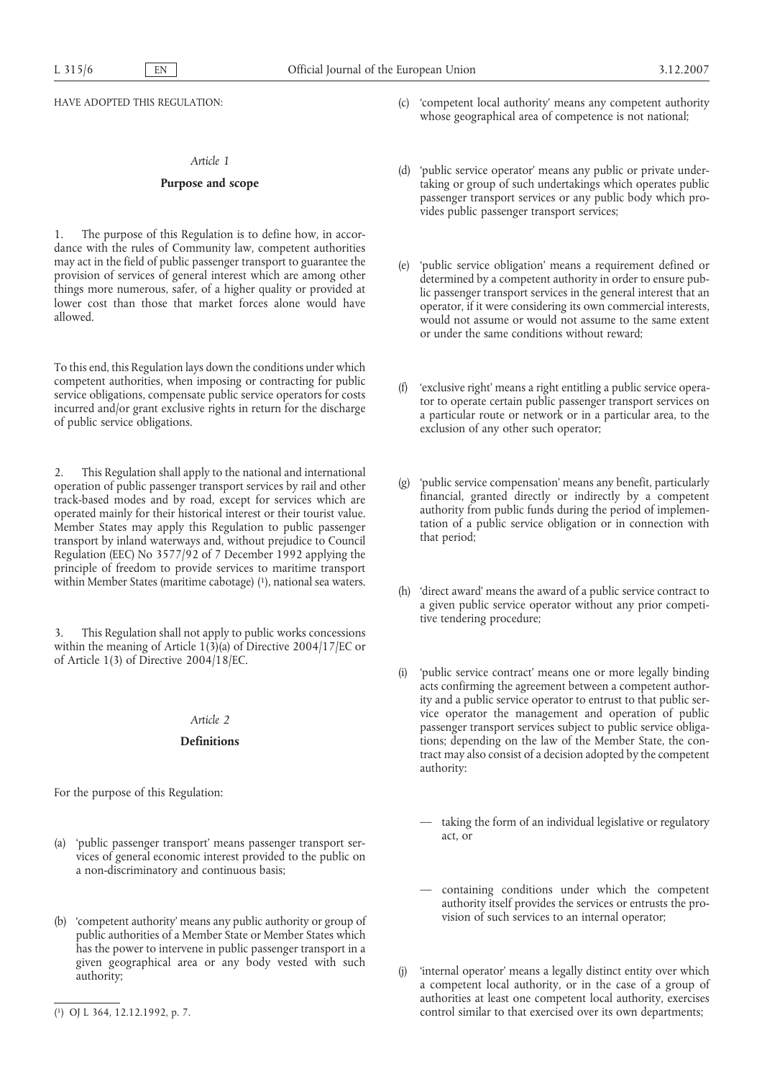HAVE ADOPTED THIS REGULATION:

### *Article 1*

#### **Purpose and scope**

1. The purpose of this Regulation is to define how, in accordance with the rules of Community law, competent authorities may act in the field of public passenger transport to guarantee the provision of services of general interest which are among other things more numerous, safer, of a higher quality or provided at lower cost than those that market forces alone would have allowed.

To this end, this Regulation lays down the conditions under which competent authorities, when imposing or contracting for public service obligations, compensate public service operators for costs incurred and/or grant exclusive rights in return for the discharge of public service obligations.

2. This Regulation shall apply to the national and international operation of public passenger transport services by rail and other track-based modes and by road, except for services which are operated mainly for their historical interest or their tourist value. Member States may apply this Regulation to public passenger transport by inland waterways and, without prejudice to Council Regulation (EEC) No 3577/92 of 7 December 1992 applying the principle of freedom to provide services to maritime transport within Member States (maritime cabotage) (1), national sea waters.

3. This Regulation shall not apply to public works concessions within the meaning of Article 1(3)(a) of Directive 2004/17/EC or of Article 1(3) of Directive 2004/18/EC.

## *Article 2*

# **Definitions**

For the purpose of this Regulation:

- 'public passenger transport' means passenger transport services of general economic interest provided to the public on a non-discriminatory and continuous basis;
- (b) 'competent authority' means any public authority or group of public authorities of a Member State or Member States which has the power to intervene in public passenger transport in a given geographical area or any body vested with such authority;
- (c) 'competent local authority' means any competent authority whose geographical area of competence is not national;
- (d) 'public service operator' means any public or private undertaking or group of such undertakings which operates public passenger transport services or any public body which provides public passenger transport services;
- (e) 'public service obligation' means a requirement defined or determined by a competent authority in order to ensure public passenger transport services in the general interest that an operator, if it were considering its own commercial interests, would not assume or would not assume to the same extent or under the same conditions without reward;
- (f) 'exclusive right' means a right entitling a public service operator to operate certain public passenger transport services on a particular route or network or in a particular area, to the exclusion of any other such operator;
- (g) 'public service compensation' means any benefit, particularly financial, granted directly or indirectly by a competent authority from public funds during the period of implementation of a public service obligation or in connection with that period;
- (h) 'direct award' means the award of a public service contract to a given public service operator without any prior competitive tendering procedure;
- (i) 'public service contract' means one or more legally binding acts confirming the agreement between a competent authority and a public service operator to entrust to that public service operator the management and operation of public passenger transport services subject to public service obligations; depending on the law of the Member State, the contract may also consist of a decision adopted by the competent authority:
	- taking the form of an individual legislative or regulatory act, or
	- containing conditions under which the competent authority itself provides the services or entrusts the provision of such services to an internal operator;
- 'internal operator' means a legally distinct entity over which a competent local authority, or in the case of a group of authorities at least one competent local authority, exercises (*i*) OJ L 364, 12.12.1992, p. 7. Control similar to that exercised over its own departments;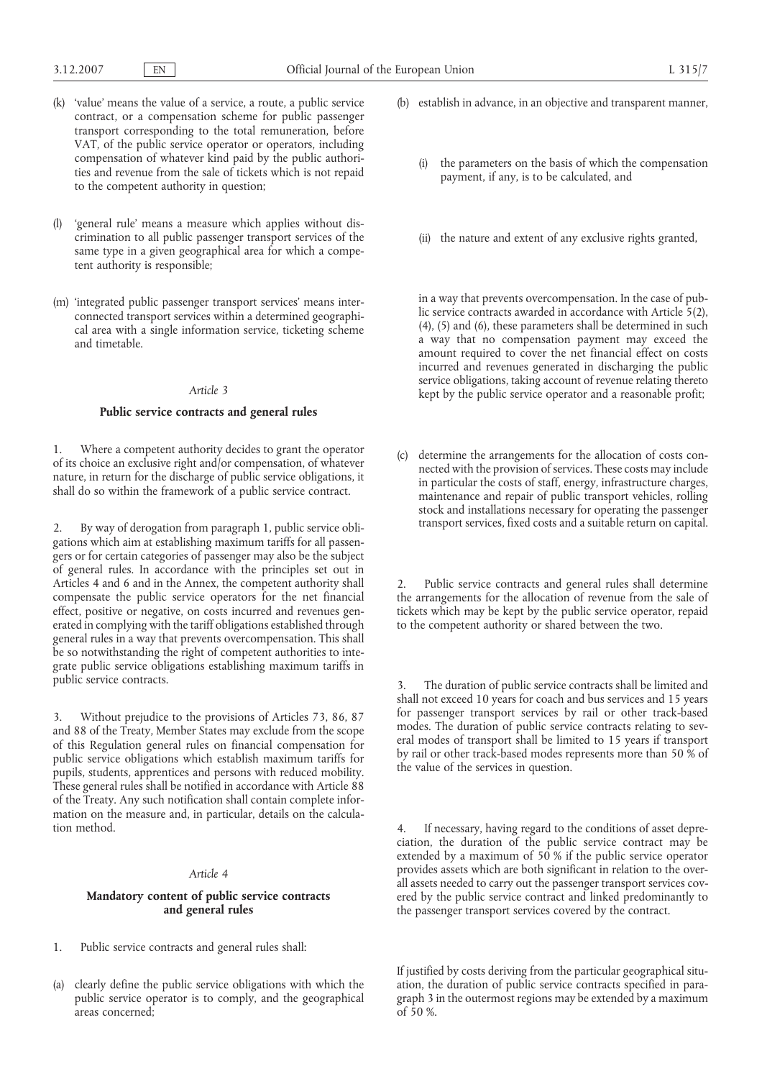- (k) 'value' means the value of a service, a route, a public service contract, or a compensation scheme for public passenger transport corresponding to the total remuneration, before VAT, of the public service operator or operators, including compensation of whatever kind paid by the public authorities and revenue from the sale of tickets which is not repaid to the competent authority in question;
- (l) 'general rule' means a measure which applies without discrimination to all public passenger transport services of the same type in a given geographical area for which a competent authority is responsible;
- (m) 'integrated public passenger transport services' means interconnected transport services within a determined geographical area with a single information service, ticketing scheme and timetable.

### *Article 3*

# **Public service contracts and general rules**

1. Where a competent authority decides to grant the operator of its choice an exclusive right and/or compensation, of whatever nature, in return for the discharge of public service obligations, it shall do so within the framework of a public service contract.

2. By way of derogation from paragraph 1, public service obligations which aim at establishing maximum tariffs for all passengers or for certain categories of passenger may also be the subject of general rules. In accordance with the principles set out in Articles 4 and 6 and in the Annex, the competent authority shall compensate the public service operators for the net financial effect, positive or negative, on costs incurred and revenues generated in complying with the tariff obligations established through general rules in a way that prevents overcompensation. This shall be so notwithstanding the right of competent authorities to integrate public service obligations establishing maximum tariffs in public service contracts.

3. Without prejudice to the provisions of Articles 73, 86, 87 and 88 of the Treaty, Member States may exclude from the scope of this Regulation general rules on financial compensation for public service obligations which establish maximum tariffs for pupils, students, apprentices and persons with reduced mobility. These general rules shall be notified in accordance with Article 88 of the Treaty. Any such notification shall contain complete information on the measure and, in particular, details on the calculation method.

### *Article 4*

# **Mandatory content of public service contracts and general rules**

1. Public service contracts and general rules shall:

(a) clearly define the public service obligations with which the public service operator is to comply, and the geographical areas concerned;

- (b) establish in advance, in an objective and transparent manner,
	- the parameters on the basis of which the compensation payment, if any, is to be calculated, and
	- (ii) the nature and extent of any exclusive rights granted,

in a way that prevents overcompensation. In the case of public service contracts awarded in accordance with Article 5(2), (4), (5) and (6), these parameters shall be determined in such a way that no compensation payment may exceed the amount required to cover the net financial effect on costs incurred and revenues generated in discharging the public service obligations, taking account of revenue relating thereto kept by the public service operator and a reasonable profit;

(c) determine the arrangements for the allocation of costs connected with the provision of services. These costs may include in particular the costs of staff, energy, infrastructure charges, maintenance and repair of public transport vehicles, rolling stock and installations necessary for operating the passenger transport services, fixed costs and a suitable return on capital.

2. Public service contracts and general rules shall determine the arrangements for the allocation of revenue from the sale of tickets which may be kept by the public service operator, repaid to the competent authority or shared between the two.

3. The duration of public service contracts shall be limited and shall not exceed 10 years for coach and bus services and 15 years for passenger transport services by rail or other track-based modes. The duration of public service contracts relating to several modes of transport shall be limited to 15 years if transport by rail or other track-based modes represents more than 50 % of the value of the services in question.

4. If necessary, having regard to the conditions of asset depreciation, the duration of the public service contract may be extended by a maximum of 50 % if the public service operator provides assets which are both significant in relation to the overall assets needed to carry out the passenger transport services covered by the public service contract and linked predominantly to the passenger transport services covered by the contract.

If justified by costs deriving from the particular geographical situation, the duration of public service contracts specified in paragraph 3 in the outermost regions may be extended by a maximum of 50 %.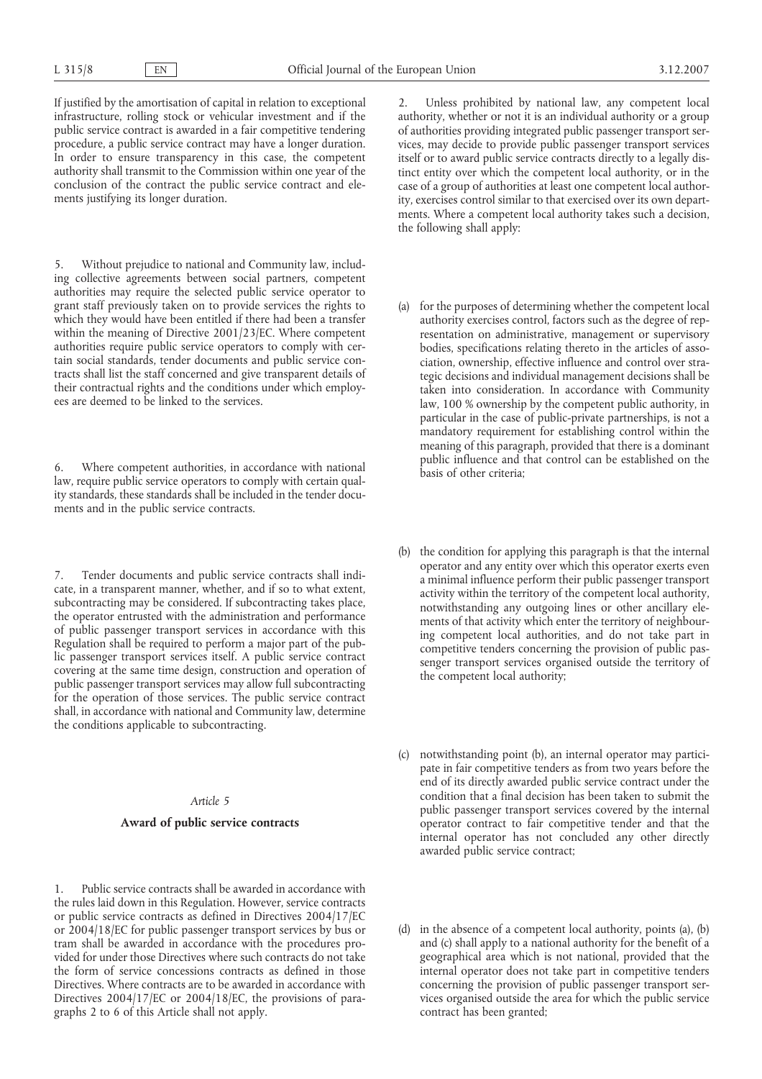If justified by the amortisation of capital in relation to exceptional infrastructure, rolling stock or vehicular investment and if the public service contract is awarded in a fair competitive tendering procedure, a public service contract may have a longer duration. In order to ensure transparency in this case, the competent authority shall transmit to the Commission within one year of the conclusion of the contract the public service contract and elements justifying its longer duration.

Without prejudice to national and Community law, including collective agreements between social partners, competent authorities may require the selected public service operator to grant staff previously taken on to provide services the rights to which they would have been entitled if there had been a transfer within the meaning of Directive 2001/23/EC. Where competent authorities require public service operators to comply with certain social standards, tender documents and public service contracts shall list the staff concerned and give transparent details of their contractual rights and the conditions under which employees are deemed to be linked to the services.

6. Where competent authorities, in accordance with national law, require public service operators to comply with certain quality standards, these standards shall be included in the tender documents and in the public service contracts.

7. Tender documents and public service contracts shall indicate, in a transparent manner, whether, and if so to what extent, subcontracting may be considered. If subcontracting takes place, the operator entrusted with the administration and performance of public passenger transport services in accordance with this Regulation shall be required to perform a major part of the public passenger transport services itself. A public service contract covering at the same time design, construction and operation of public passenger transport services may allow full subcontracting for the operation of those services. The public service contract shall, in accordance with national and Community law, determine the conditions applicable to subcontracting.

### *Article 5*

## **Award of public service contracts**

1. Public service contracts shall be awarded in accordance with the rules laid down in this Regulation. However, service contracts or public service contracts as defined in Directives 2004/17/EC or 2004/18/EC for public passenger transport services by bus or tram shall be awarded in accordance with the procedures provided for under those Directives where such contracts do not take the form of service concessions contracts as defined in those Directives. Where contracts are to be awarded in accordance with Directives 2004/17/EC or 2004/18/EC, the provisions of paragraphs 2 to 6 of this Article shall not apply.

2. Unless prohibited by national law, any competent local authority, whether or not it is an individual authority or a group of authorities providing integrated public passenger transport services, may decide to provide public passenger transport services itself or to award public service contracts directly to a legally distinct entity over which the competent local authority, or in the case of a group of authorities at least one competent local authority, exercises control similar to that exercised over its own departments. Where a competent local authority takes such a decision, the following shall apply:

- (a) for the purposes of determining whether the competent local authority exercises control, factors such as the degree of representation on administrative, management or supervisory bodies, specifications relating thereto in the articles of association, ownership, effective influence and control over strategic decisions and individual management decisions shall be taken into consideration. In accordance with Community law, 100 % ownership by the competent public authority, in particular in the case of public-private partnerships, is not a mandatory requirement for establishing control within the meaning of this paragraph, provided that there is a dominant public influence and that control can be established on the basis of other criteria;
- (b) the condition for applying this paragraph is that the internal operator and any entity over which this operator exerts even a minimal influence perform their public passenger transport activity within the territory of the competent local authority, notwithstanding any outgoing lines or other ancillary elements of that activity which enter the territory of neighbouring competent local authorities, and do not take part in competitive tenders concerning the provision of public passenger transport services organised outside the territory of the competent local authority;
- (c) notwithstanding point (b), an internal operator may participate in fair competitive tenders as from two years before the end of its directly awarded public service contract under the condition that a final decision has been taken to submit the public passenger transport services covered by the internal operator contract to fair competitive tender and that the internal operator has not concluded any other directly awarded public service contract;
- (d) in the absence of a competent local authority, points (a), (b) and (c) shall apply to a national authority for the benefit of a geographical area which is not national, provided that the internal operator does not take part in competitive tenders concerning the provision of public passenger transport services organised outside the area for which the public service contract has been granted;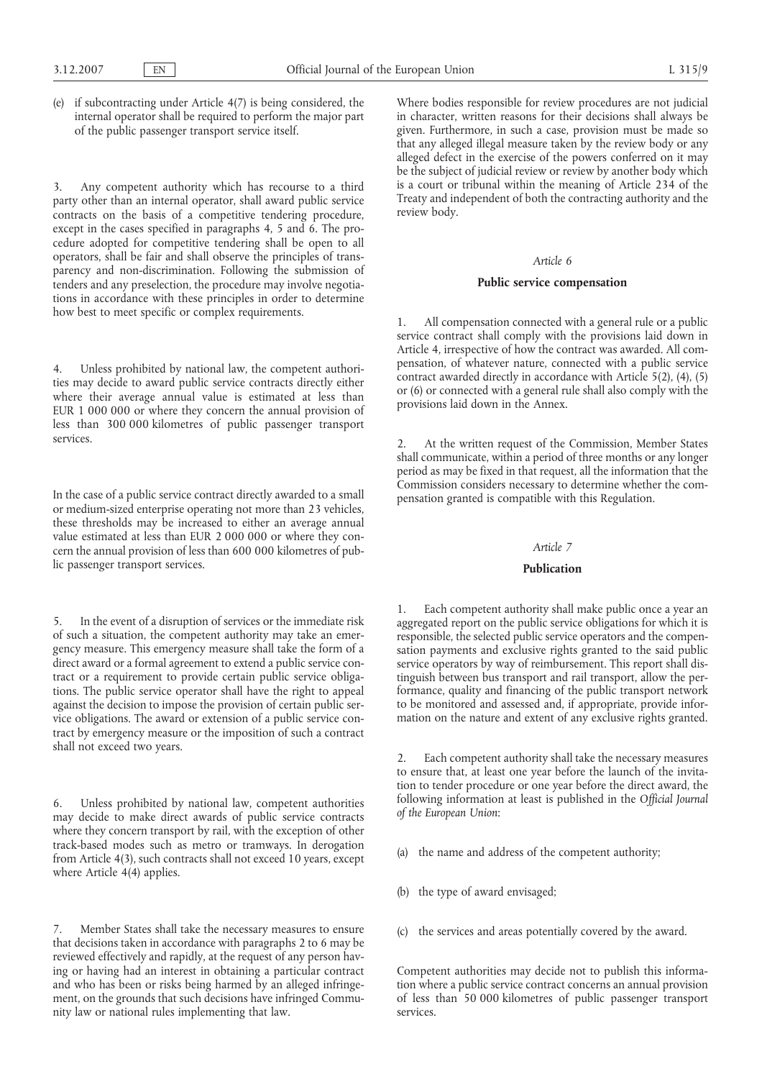(e) if subcontracting under Article 4(7) is being considered, the internal operator shall be required to perform the major part of the public passenger transport service itself.

3. Any competent authority which has recourse to a third party other than an internal operator, shall award public service contracts on the basis of a competitive tendering procedure, except in the cases specified in paragraphs 4, 5 and 6. The procedure adopted for competitive tendering shall be open to all operators, shall be fair and shall observe the principles of transparency and non-discrimination. Following the submission of tenders and any preselection, the procedure may involve negotiations in accordance with these principles in order to determine how best to meet specific or complex requirements.

4. Unless prohibited by national law, the competent authorities may decide to award public service contracts directly either where their average annual value is estimated at less than EUR 1 000 000 or where they concern the annual provision of less than 300 000 kilometres of public passenger transport services.

In the case of a public service contract directly awarded to a small or medium-sized enterprise operating not more than 23 vehicles, these thresholds may be increased to either an average annual value estimated at less than EUR 2 000 000 or where they concern the annual provision of less than 600 000 kilometres of public passenger transport services.

5. In the event of a disruption of services or the immediate risk of such a situation, the competent authority may take an emergency measure. This emergency measure shall take the form of a direct award or a formal agreement to extend a public service contract or a requirement to provide certain public service obligations. The public service operator shall have the right to appeal against the decision to impose the provision of certain public service obligations. The award or extension of a public service contract by emergency measure or the imposition of such a contract shall not exceed two years.

6. Unless prohibited by national law, competent authorities may decide to make direct awards of public service contracts where they concern transport by rail, with the exception of other track-based modes such as metro or tramways. In derogation from Article 4(3), such contracts shall not exceed 10 years, except where Article 4(4) applies.

7. Member States shall take the necessary measures to ensure that decisions taken in accordance with paragraphs 2 to 6 may be reviewed effectively and rapidly, at the request of any person having or having had an interest in obtaining a particular contract and who has been or risks being harmed by an alleged infringement, on the grounds that such decisions have infringed Community law or national rules implementing that law.

Where bodies responsible for review procedures are not judicial in character, written reasons for their decisions shall always be given. Furthermore, in such a case, provision must be made so that any alleged illegal measure taken by the review body or any alleged defect in the exercise of the powers conferred on it may be the subject of judicial review or review by another body which is a court or tribunal within the meaning of Article 234 of the Treaty and independent of both the contracting authority and the review body.

### *Article 6*

#### **Public service compensation**

1. All compensation connected with a general rule or a public service contract shall comply with the provisions laid down in Article 4, irrespective of how the contract was awarded. All compensation, of whatever nature, connected with a public service contract awarded directly in accordance with Article 5(2), (4), (5) or (6) or connected with a general rule shall also comply with the provisions laid down in the Annex.

At the written request of the Commission, Member States shall communicate, within a period of three months or any longer period as may be fixed in that request, all the information that the Commission considers necessary to determine whether the compensation granted is compatible with this Regulation.

#### *Article 7*

# **Publication**

1. Each competent authority shall make public once a year an aggregated report on the public service obligations for which it is responsible, the selected public service operators and the compensation payments and exclusive rights granted to the said public service operators by way of reimbursement. This report shall distinguish between bus transport and rail transport, allow the performance, quality and financing of the public transport network to be monitored and assessed and, if appropriate, provide information on the nature and extent of any exclusive rights granted.

2. Each competent authority shall take the necessary measures to ensure that, at least one year before the launch of the invitation to tender procedure or one year before the direct award, the following information at least is published in the *Official Journal of the European Union*:

- (a) the name and address of the competent authority;
- the type of award envisaged;
- (c) the services and areas potentially covered by the award.

Competent authorities may decide not to publish this information where a public service contract concerns an annual provision of less than 50 000 kilometres of public passenger transport services.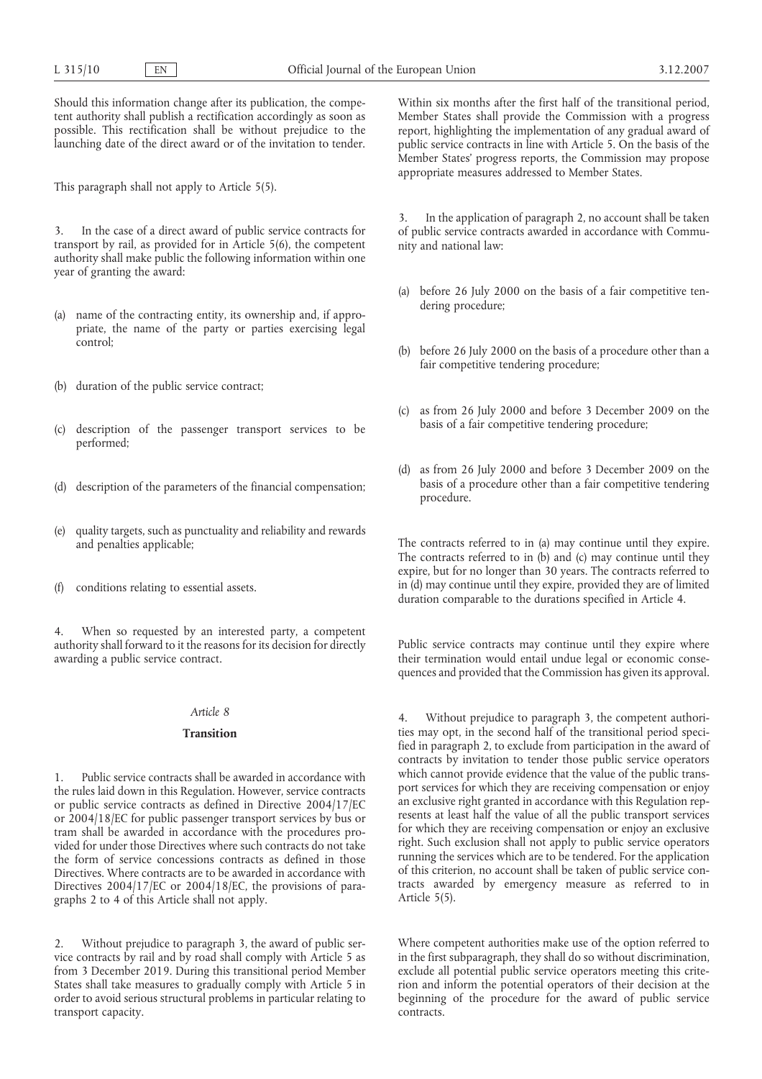Should this information change after its publication, the competent authority shall publish a rectification accordingly as soon as possible. This rectification shall be without prejudice to the launching date of the direct award or of the invitation to tender.

This paragraph shall not apply to Article 5(5).

3. In the case of a direct award of public service contracts for transport by rail, as provided for in Article 5(6), the competent authority shall make public the following information within one year of granting the award:

- (a) name of the contracting entity, its ownership and, if appropriate, the name of the party or parties exercising legal control;
- (b) duration of the public service contract;
- (c) description of the passenger transport services to be performed;
- (d) description of the parameters of the financial compensation;
- (e) quality targets, such as punctuality and reliability and rewards and penalties applicable;
- (f) conditions relating to essential assets.

4. When so requested by an interested party, a competent authority shall forward to it the reasons for its decision for directly awarding a public service contract.

### *Article 8*

# **Transition**

1. Public service contracts shall be awarded in accordance with the rules laid down in this Regulation. However, service contracts or public service contracts as defined in Directive 2004/17/EC or 2004/18/EC for public passenger transport services by bus or tram shall be awarded in accordance with the procedures provided for under those Directives where such contracts do not take the form of service concessions contracts as defined in those Directives. Where contracts are to be awarded in accordance with Directives 2004/17/EC or 2004/18/EC, the provisions of paragraphs 2 to 4 of this Article shall not apply.

2. Without prejudice to paragraph 3, the award of public service contracts by rail and by road shall comply with Article 5 as from 3 December 2019. During this transitional period Member States shall take measures to gradually comply with Article 5 in order to avoid serious structural problems in particular relating to transport capacity.

Within six months after the first half of the transitional period, Member States shall provide the Commission with a progress report, highlighting the implementation of any gradual award of public service contracts in line with Article 5. On the basis of the Member States' progress reports, the Commission may propose appropriate measures addressed to Member States.

3. In the application of paragraph 2, no account shall be taken of public service contracts awarded in accordance with Community and national law:

- (a) before 26 July 2000 on the basis of a fair competitive tendering procedure;
- (b) before 26 July 2000 on the basis of a procedure other than a fair competitive tendering procedure;
- (c) as from 26 July 2000 and before 3 December 2009 on the basis of a fair competitive tendering procedure;
- (d) as from 26 July 2000 and before 3 December 2009 on the basis of a procedure other than a fair competitive tendering procedure.

The contracts referred to in (a) may continue until they expire. The contracts referred to in (b) and (c) may continue until they expire, but for no longer than 30 years. The contracts referred to in (d) may continue until they expire, provided they are of limited duration comparable to the durations specified in Article 4.

Public service contracts may continue until they expire where their termination would entail undue legal or economic consequences and provided that the Commission has given its approval.

4. Without prejudice to paragraph 3, the competent authorities may opt, in the second half of the transitional period specified in paragraph 2, to exclude from participation in the award of contracts by invitation to tender those public service operators which cannot provide evidence that the value of the public transport services for which they are receiving compensation or enjoy an exclusive right granted in accordance with this Regulation represents at least half the value of all the public transport services for which they are receiving compensation or enjoy an exclusive right. Such exclusion shall not apply to public service operators running the services which are to be tendered. For the application of this criterion, no account shall be taken of public service contracts awarded by emergency measure as referred to in Article 5(5).

Where competent authorities make use of the option referred to in the first subparagraph, they shall do so without discrimination, exclude all potential public service operators meeting this criterion and inform the potential operators of their decision at the beginning of the procedure for the award of public service contracts.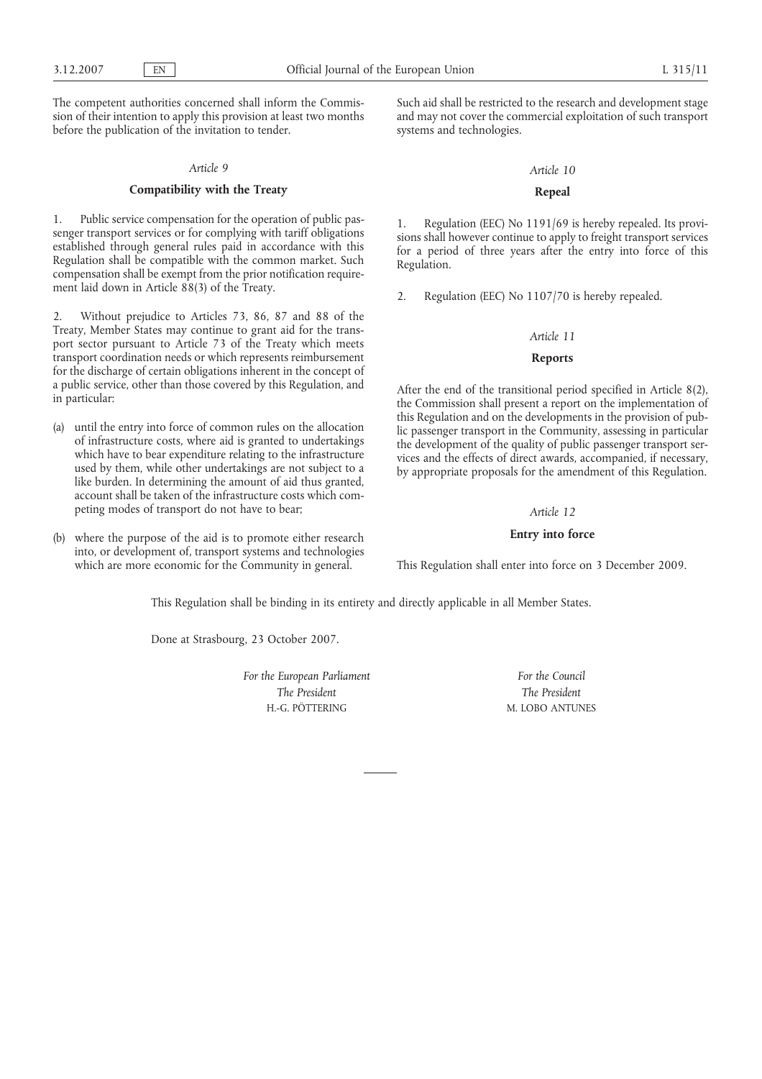The competent authorities concerned shall inform the Commission of their intention to apply this provision at least two months before the publication of the invitation to tender.

#### *Article 9*

### **Compatibility with the Treaty**

1. Public service compensation for the operation of public passenger transport services or for complying with tariff obligations established through general rules paid in accordance with this Regulation shall be compatible with the common market. Such compensation shall be exempt from the prior notification requirement laid down in Article 88(3) of the Treaty.

2. Without prejudice to Articles 73, 86, 87 and 88 of the Treaty, Member States may continue to grant aid for the transport sector pursuant to Article 73 of the Treaty which meets transport coordination needs or which represents reimbursement for the discharge of certain obligations inherent in the concept of a public service, other than those covered by this Regulation, and in particular:

- (a) until the entry into force of common rules on the allocation of infrastructure costs, where aid is granted to undertakings which have to bear expenditure relating to the infrastructure used by them, while other undertakings are not subject to a like burden. In determining the amount of aid thus granted, account shall be taken of the infrastructure costs which competing modes of transport do not have to bear;
- (b) where the purpose of the aid is to promote either research into, or development of, transport systems and technologies which are more economic for the Community in general.

Such aid shall be restricted to the research and development stage and may not cover the commercial exploitation of such transport systems and technologies.

# *Article 10*

# **Repeal**

1. Regulation (EEC) No 1191/69 is hereby repealed. Its provisions shall however continue to apply to freight transport services for a period of three years after the entry into force of this Regulation.

2. Regulation (EEC) No 1107/70 is hereby repealed.

#### *Article 11*

# **Reports**

After the end of the transitional period specified in Article 8(2), the Commission shall present a report on the implementation of this Regulation and on the developments in the provision of public passenger transport in the Community, assessing in particular the development of the quality of public passenger transport services and the effects of direct awards, accompanied, if necessary, by appropriate proposals for the amendment of this Regulation.

### *Article 12*

# **Entry into force**

This Regulation shall enter into force on 3 December 2009.

This Regulation shall be binding in its entirety and directly applicable in all Member States.

Done at Strasbourg, 23 October 2007.

*For the European Parliament The President* H.-G. PÖTTERING

*For the Council The President* M. LOBO ANTUNES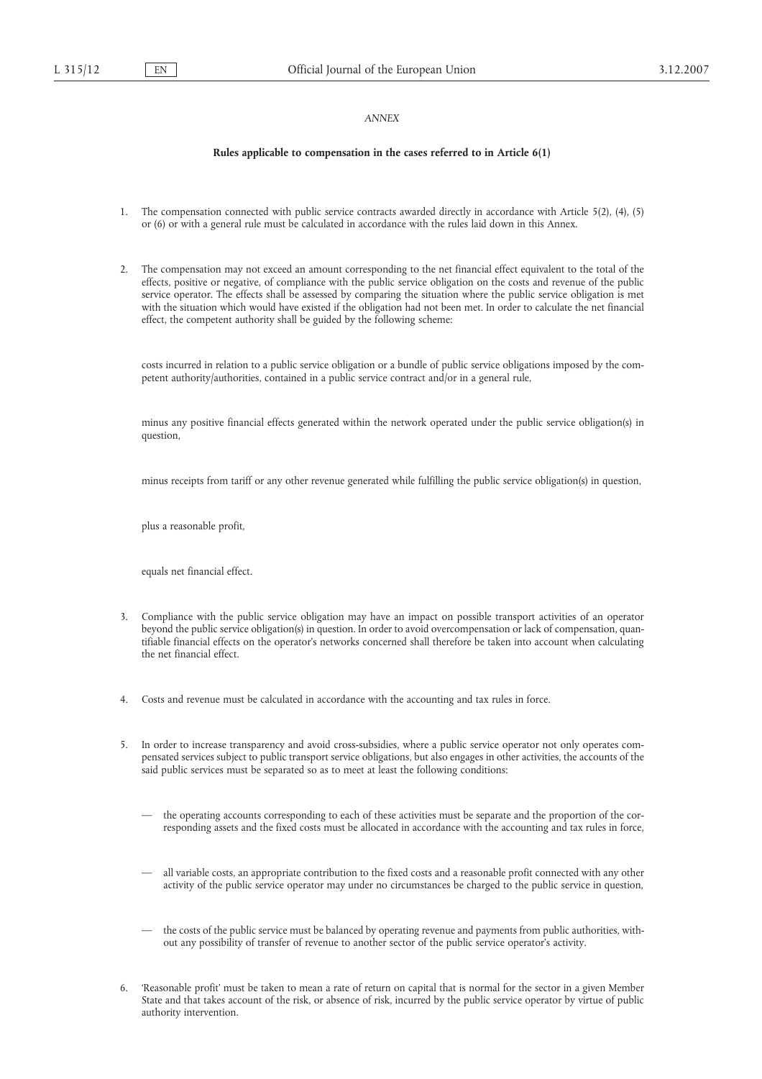# *ANNEX*

#### **Rules applicable to compensation in the cases referred to in Article 6(1)**

- 1. The compensation connected with public service contracts awarded directly in accordance with Article 5(2), (4), (5) or (6) or with a general rule must be calculated in accordance with the rules laid down in this Annex.
- 2. The compensation may not exceed an amount corresponding to the net financial effect equivalent to the total of the effects, positive or negative, of compliance with the public service obligation on the costs and revenue of the public service operator. The effects shall be assessed by comparing the situation where the public service obligation is met with the situation which would have existed if the obligation had not been met. In order to calculate the net financial effect, the competent authority shall be guided by the following scheme:

costs incurred in relation to a public service obligation or a bundle of public service obligations imposed by the competent authority/authorities, contained in a public service contract and/or in a general rule,

minus any positive financial effects generated within the network operated under the public service obligation(s) in question,

minus receipts from tariff or any other revenue generated while fulfilling the public service obligation(s) in question,

plus a reasonable profit,

equals net financial effect.

- 3. Compliance with the public service obligation may have an impact on possible transport activities of an operator beyond the public service obligation(s) in question. In order to avoid overcompensation or lack of compensation, quantifiable financial effects on the operator's networks concerned shall therefore be taken into account when calculating the net financial effect.
- 4. Costs and revenue must be calculated in accordance with the accounting and tax rules in force.
- 5. In order to increase transparency and avoid cross-subsidies, where a public service operator not only operates compensated services subject to public transport service obligations, but also engages in other activities, the accounts of the said public services must be separated so as to meet at least the following conditions:
	- the operating accounts corresponding to each of these activities must be separate and the proportion of the corresponding assets and the fixed costs must be allocated in accordance with the accounting and tax rules in force,
	- all variable costs, an appropriate contribution to the fixed costs and a reasonable profit connected with any other activity of the public service operator may under no circumstances be charged to the public service in question,
	- the costs of the public service must be balanced by operating revenue and payments from public authorities, without any possibility of transfer of revenue to another sector of the public service operator's activity.
- 6. 'Reasonable profit' must be taken to mean a rate of return on capital that is normal for the sector in a given Member State and that takes account of the risk, or absence of risk, incurred by the public service operator by virtue of public authority intervention.